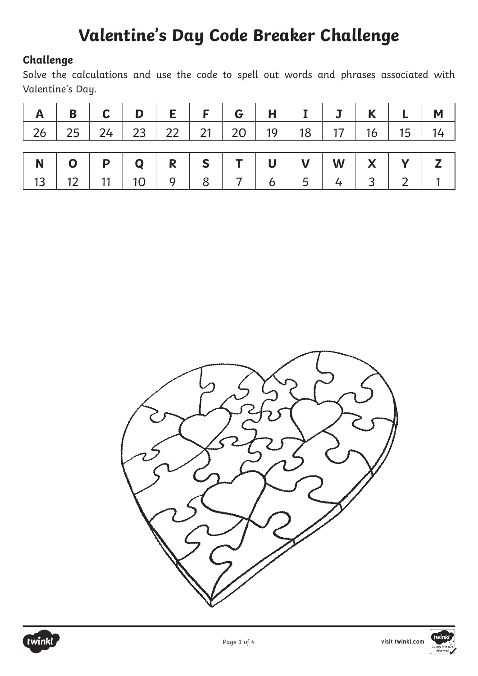#### **Challenge**

Solve the calculations and use the code to spell out words and phrases associated with Valentine's Day.

|  |  | $A \mid B \mid C \mid D \mid E \mid F \mid G \mid H \mid I \mid J \mid K \mid L \mid M \mid$ |  |  |  |  |
|--|--|----------------------------------------------------------------------------------------------|--|--|--|--|
|  |  | 26 25 24 23 22 21 20 19 18 17 16 15 14                                                       |  |  |  |  |
|  |  |                                                                                              |  |  |  |  |
|  |  |                                                                                              |  |  |  |  |
|  |  | NOPQRSTUVWXYZ<br>13 12 11 10 9 8 7 6 5 4 3 2 1                                               |  |  |  |  |





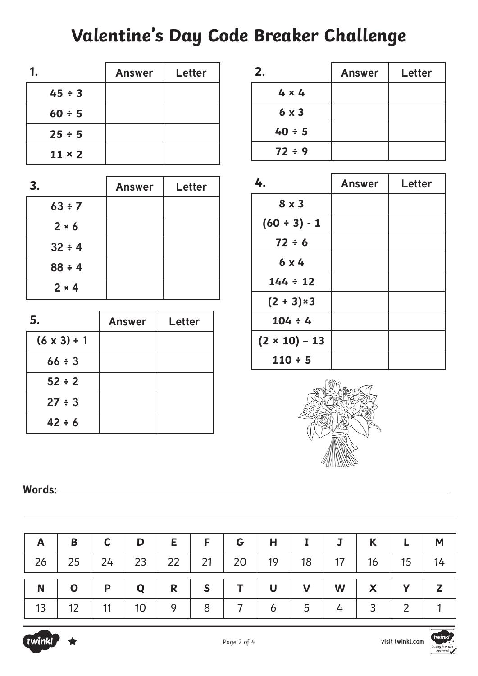|               | <b>Answer</b> | Letter |
|---------------|---------------|--------|
| $45 \div 3$   |               |        |
| $60 \div 5$   |               |        |
| $25 \div 5$   |               |        |
| $11 \times 2$ |               |        |

| 3.           | <b>Answer</b> | Letter |
|--------------|---------------|--------|
| $63 \div 7$  |               |        |
| $2 * 6$      |               |        |
| $32 \div 4$  |               |        |
| 88 : 4       |               |        |
| $2 \times 4$ |               |        |

| 5.                 | <b>Answer</b> | Letter |
|--------------------|---------------|--------|
| $(6 \times 3) + 1$ |               |        |
| $66 \div 3$        |               |        |
| $52 \div 2$        |               |        |
| $27 \div 3$        |               |        |
| $42 \div 6$        |               |        |

| 2.           | <b>Answer</b> | Letter |
|--------------|---------------|--------|
| $4 \times 4$ |               |        |
| $6 \times 3$ |               |        |
| $40 \div 5$  |               |        |
| 72 ÷ 9       |               |        |

| 4.                   | <b>Answer</b> | <b>Letter</b> |
|----------------------|---------------|---------------|
| $8 \times 3$         |               |               |
| $(60 \div 3) - 1$    |               |               |
| $72 \div 6$          |               |               |
| $6 \times 4$         |               |               |
| $144 \div 12$        |               |               |
| $(2 + 3) \times 3$   |               |               |
| $104 \div 4$         |               |               |
| $(2 \times 10) - 13$ |               |               |
| $110 \div 5$         |               |               |



**Words:** 

|                                                                                           | $B$ $C$ $D$ $E$ $F$ $G$ $H$ $I$ $J$ $K$ $L$ $M$ |  |  |  |  |  |
|-------------------------------------------------------------------------------------------|-------------------------------------------------|--|--|--|--|--|
| 26   25   24   23   22   21   20   19   18   17   16   15   14                            |                                                 |  |  |  |  |  |
| $N$ 0                                                                                     | $P   Q   R   S   T   U   V   W   X   Y   Z$     |  |  |  |  |  |
| $13 \mid 12 \mid 11 \mid 10 \mid 9 \mid 8 \mid 7 \mid 6 \mid 5 \mid 4 \mid 3 \mid 2 \mid$ |                                                 |  |  |  |  |  |

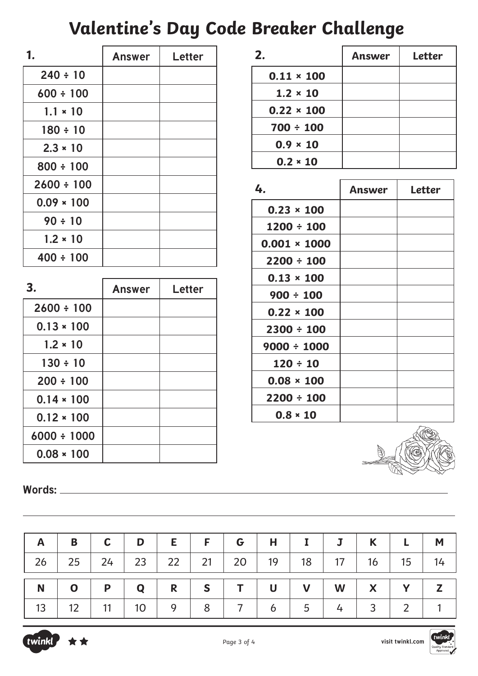| 1               | <b>Answer</b> | Letter |
|-----------------|---------------|--------|
| $240 \div 10$   |               |        |
| $600 \div 100$  |               |        |
| $1.1 \times 10$ |               |        |
| $180 \div 10$   |               |        |
| $2.3 * 10$      |               |        |
| $800 \div 100$  |               |        |
| $2600 \div 100$ |               |        |
| $0.09 * 100$    |               |        |
| $90 \div 10$    |               |        |
| $1.2 * 10$      |               |        |
| $400 \div 100$  |               |        |

| З.               | <b>Answer</b> | Letter |
|------------------|---------------|--------|
| $2600 \div 100$  |               |        |
| $0.13 * 100$     |               |        |
| $1.2 * 10$       |               |        |
| $130 \div 10$    |               |        |
| $200 \div 100$   |               |        |
| $0.14 * 100$     |               |        |
| $0.12 * 100$     |               |        |
| $6000 \div 1000$ |               |        |
| $0.08 * 100$     |               |        |

| 2.                | Answer | <b>Letter</b> |
|-------------------|--------|---------------|
| $0.11 \times 100$ |        |               |
| $1.2 \times 10$   |        |               |
| $0.22 \times 100$ |        |               |
| $700 \div 100$    |        |               |
| $0.9 \times 10$   |        |               |
| $0.2 * 10$        |        |               |

| 4.                  | Answer | Letter |
|---------------------|--------|--------|
| $0.23 \times 100$   |        |        |
| $1200 \div 100$     |        |        |
| $0.001 \times 1000$ |        |        |
| $2200 \div 100$     |        |        |
| $0.13 \times 100$   |        |        |
| $900 \div 100$      |        |        |
| $0.22 \times 100$   |        |        |
| $2300 \div 100$     |        |        |
| $9000 \div 1000$    |        |        |
| $120 \div 10$       |        |        |
| $0.08 \times 100$   |        |        |
| $2200 \div 100$     |        |        |
| $0.8 * 10$          |        |        |

**Words:** 

| $\mathsf{A}$                                                   | $\mathbf{B}$      |                     |  |  | $C   D   E   F   G   H   I   J   K   L   M$ |  |           |  |
|----------------------------------------------------------------|-------------------|---------------------|--|--|---------------------------------------------|--|-----------|--|
| 26   25   24   23   22   21   20   19   18   17   16   15   14 |                   |                     |  |  |                                             |  |           |  |
|                                                                | $N$ 0             |                     |  |  |                                             |  |           |  |
|                                                                | $13 \mid 12 \mid$ | 11   10   9   8   7 |  |  | $6 \mid 5 \mid 4 \mid$                      |  | 3   2   1 |  |

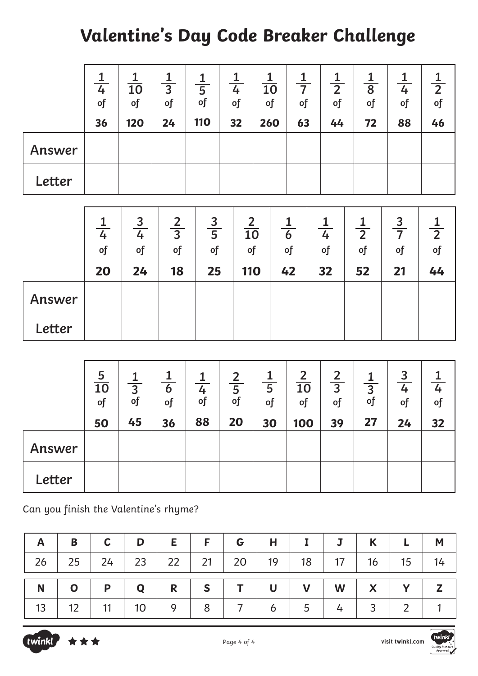|        | 4<br>$\sigma$<br>36 | 10<br>$\sigma$<br>120 | $\overline{3}$<br>of<br>24 | 5<br>of<br>110 | 4<br>$\circ$ f<br>32 | $\overline{10}$<br>of<br>260 | 7<br>of<br>63 | 1<br>$\overline{2}$<br>of<br>44 | $\overline{8}$<br>of<br>72 | 4<br>of<br>88 | $\overline{2}$<br>of<br>46 |
|--------|---------------------|-----------------------|----------------------------|----------------|----------------------|------------------------------|---------------|---------------------------------|----------------------------|---------------|----------------------------|
| Answer |                     |                       |                            |                |                      |                              |               |                                 |                            |               |                            |
| Letter |                     |                       |                            |                |                      |                              |               |                                 |                            |               |                            |

|        | $\overline{4}$<br>of | 3<br>4<br>of | $\overline{3}$<br>of | 3<br>$\overline{5}$<br>of | $\overline{2}$<br>$\overline{10}$<br>of | 6<br>of | 4<br>of | $\overline{2}$<br>$\circ$ f | $\overline{3}$<br>of | $\overline{2}$<br>of |
|--------|----------------------|--------------|----------------------|---------------------------|-----------------------------------------|---------|---------|-----------------------------|----------------------|----------------------|
| Answer | 20                   | 24           | 18                   | 25                        | <b>110</b>                              | 42      | 32      | 52                          | 21                   | 44                   |
| Letter |                      |              |                      |                           |                                         |         |         |                             |                      |                      |

|        | $\frac{5}{10}$<br>of<br>50 | $rac{1}{3}$<br>of<br>45 | 6<br>of<br>36 | $\overline{4}$<br>$\circ$ f<br>88 | $\frac{2}{5}$<br>of<br>20 | $\overline{5}$<br>$\sigma$<br>30 | $\overline{2}$<br>10<br>of<br>100 | $\overline{2}$<br>$\overline{3}$<br>of<br>39 | $\frac{1}{3}$<br>$\sigma$<br>27 | 3<br>4<br>$\circ$ f<br>24 | $\circ$ f<br>32 |
|--------|----------------------------|-------------------------|---------------|-----------------------------------|---------------------------|----------------------------------|-----------------------------------|----------------------------------------------|---------------------------------|---------------------------|-----------------|
| Answer |                            |                         |               |                                   |                           |                                  |                                   |                                              |                                 |                           |                 |
| Letter |                            |                         |               |                                   |                           |                                  |                                   |                                              |                                 |                           |                 |

Can you finish the Valentine's rhyme?

| $\mathsf{A}$ | $\mathsf{B}$                                              | $\mathsf{C}$ | D | $E$   $F$   $G$   $H$   $I$   $J$   $K$   $L$   $M$ |  |  |  |  |
|--------------|-----------------------------------------------------------|--------------|---|-----------------------------------------------------|--|--|--|--|
| 26           | 25   24   23   22   21   20   19   18   17   16   15   14 |              |   |                                                     |  |  |  |  |
|              |                                                           |              |   |                                                     |  |  |  |  |
| $\mathbf N$  | $\overline{\phantom{a}}$                                  |              |   |                                                     |  |  |  |  |